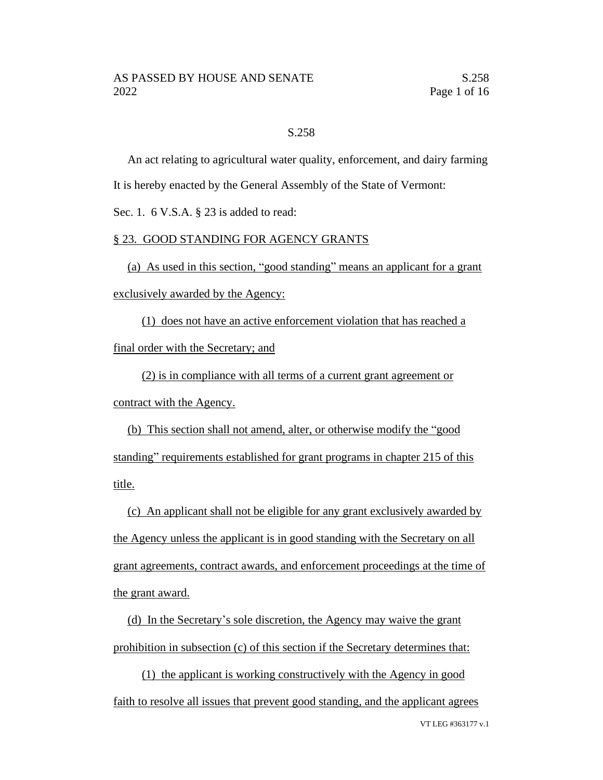# S.258

An act relating to agricultural water quality, enforcement, and dairy farming It is hereby enacted by the General Assembly of the State of Vermont:

Sec. 1. 6 V.S.A. § 23 is added to read:

# § 23. GOOD STANDING FOR AGENCY GRANTS

(a) As used in this section, "good standing" means an applicant for a grant exclusively awarded by the Agency:

(1) does not have an active enforcement violation that has reached a final order with the Secretary; and

(2) is in compliance with all terms of a current grant agreement or contract with the Agency.

(b) This section shall not amend, alter, or otherwise modify the "good standing" requirements established for grant programs in chapter 215 of this title.

(c) An applicant shall not be eligible for any grant exclusively awarded by the Agency unless the applicant is in good standing with the Secretary on all grant agreements, contract awards, and enforcement proceedings at the time of the grant award.

(d) In the Secretary's sole discretion, the Agency may waive the grant prohibition in subsection (c) of this section if the Secretary determines that:

(1) the applicant is working constructively with the Agency in good faith to resolve all issues that prevent good standing, and the applicant agrees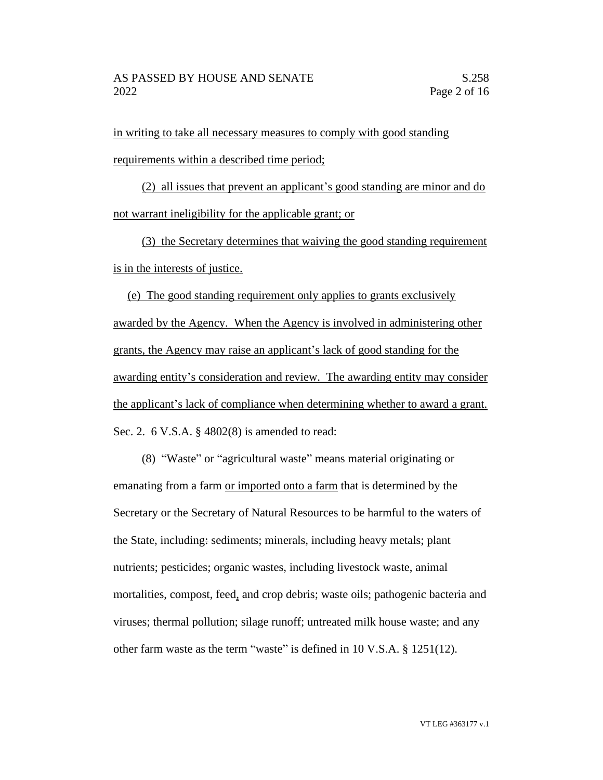in writing to take all necessary measures to comply with good standing requirements within a described time period;

(2) all issues that prevent an applicant's good standing are minor and do not warrant ineligibility for the applicable grant; or

(3) the Secretary determines that waiving the good standing requirement is in the interests of justice.

(e) The good standing requirement only applies to grants exclusively awarded by the Agency. When the Agency is involved in administering other grants, the Agency may raise an applicant's lack of good standing for the awarding entity's consideration and review. The awarding entity may consider the applicant's lack of compliance when determining whether to award a grant. Sec. 2. 6 V.S.A. § 4802(8) is amended to read:

(8) "Waste" or "agricultural waste" means material originating or emanating from a farm or imported onto a farm that is determined by the Secretary or the Secretary of Natural Resources to be harmful to the waters of the State, including: sediments; minerals, including heavy metals; plant nutrients; pesticides; organic wastes, including livestock waste, animal mortalities, compost, feed, and crop debris; waste oils; pathogenic bacteria and viruses; thermal pollution; silage runoff; untreated milk house waste; and any other farm waste as the term "waste" is defined in 10 V.S.A. § 1251(12).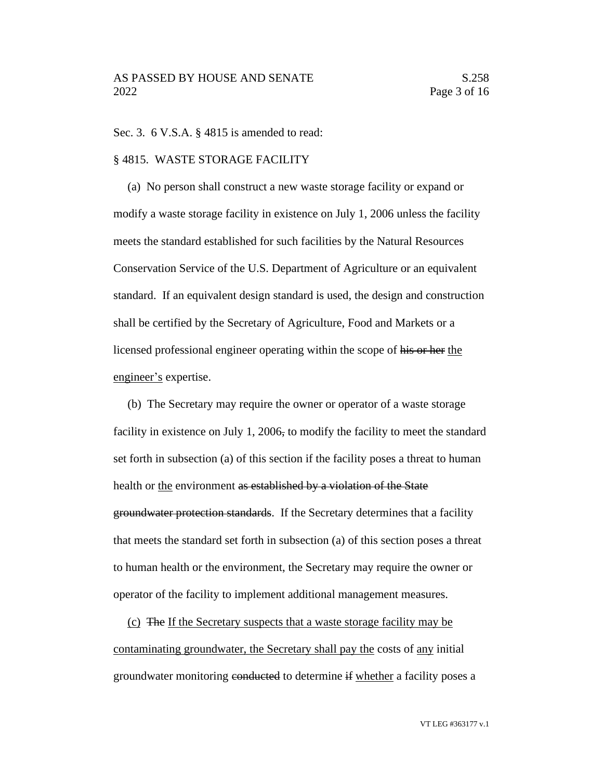Sec. 3. 6 V.S.A. § 4815 is amended to read:

## § 4815. WASTE STORAGE FACILITY

(a) No person shall construct a new waste storage facility or expand or modify a waste storage facility in existence on July 1, 2006 unless the facility meets the standard established for such facilities by the Natural Resources Conservation Service of the U.S. Department of Agriculture or an equivalent standard. If an equivalent design standard is used, the design and construction shall be certified by the Secretary of Agriculture, Food and Markets or a licensed professional engineer operating within the scope of his or her the engineer's expertise.

(b) The Secretary may require the owner or operator of a waste storage facility in existence on July 1, 2006, to modify the facility to meet the standard set forth in subsection (a) of this section if the facility poses a threat to human health or the environment as established by a violation of the State groundwater protection standards. If the Secretary determines that a facility that meets the standard set forth in subsection (a) of this section poses a threat to human health or the environment, the Secretary may require the owner or operator of the facility to implement additional management measures.

(c) The If the Secretary suspects that a waste storage facility may be contaminating groundwater, the Secretary shall pay the costs of any initial groundwater monitoring conducted to determine if whether a facility poses a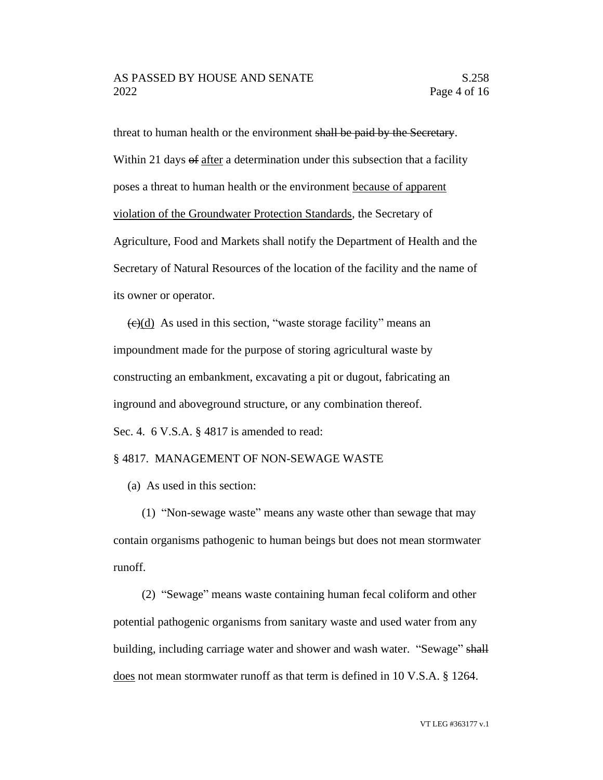threat to human health or the environment shall be paid by the Secretary. Within 21 days of after a determination under this subsection that a facility poses a threat to human health or the environment because of apparent violation of the Groundwater Protection Standards, the Secretary of Agriculture, Food and Markets shall notify the Department of Health and the Secretary of Natural Resources of the location of the facility and the name of its owner or operator.

 $\left(\frac{e}{e}\right)$  As used in this section, "waste storage facility" means an impoundment made for the purpose of storing agricultural waste by constructing an embankment, excavating a pit or dugout, fabricating an inground and aboveground structure, or any combination thereof. Sec. 4. 6 V.S.A. § 4817 is amended to read:

## § 4817. MANAGEMENT OF NON-SEWAGE WASTE

(a) As used in this section:

(1) "Non-sewage waste" means any waste other than sewage that may contain organisms pathogenic to human beings but does not mean stormwater runoff.

(2) "Sewage" means waste containing human fecal coliform and other potential pathogenic organisms from sanitary waste and used water from any building, including carriage water and shower and wash water. "Sewage" shall does not mean stormwater runoff as that term is defined in 10 V.S.A. § 1264.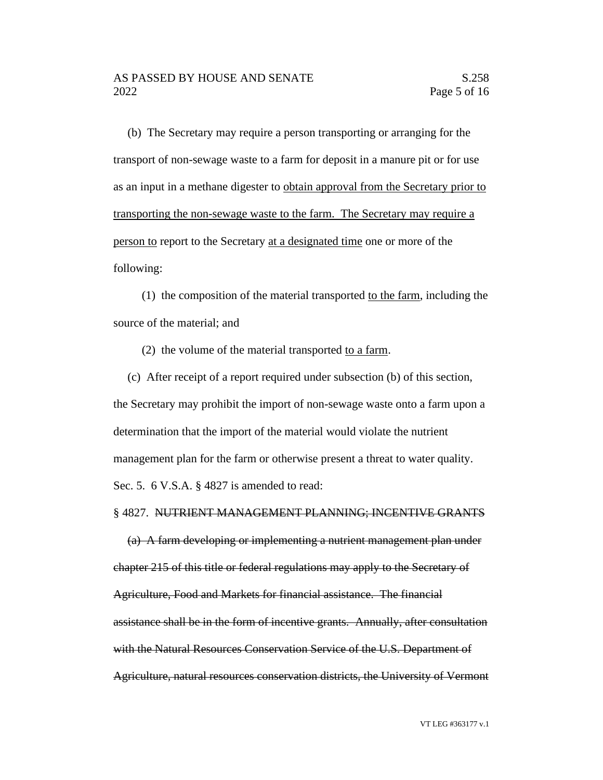(b) The Secretary may require a person transporting or arranging for the transport of non-sewage waste to a farm for deposit in a manure pit or for use as an input in a methane digester to obtain approval from the Secretary prior to transporting the non-sewage waste to the farm. The Secretary may require a person to report to the Secretary at a designated time one or more of the following:

(1) the composition of the material transported to the farm, including the source of the material; and

(2) the volume of the material transported to a farm.

(c) After receipt of a report required under subsection (b) of this section, the Secretary may prohibit the import of non-sewage waste onto a farm upon a determination that the import of the material would violate the nutrient management plan for the farm or otherwise present a threat to water quality. Sec. 5. 6 V.S.A. § 4827 is amended to read:

#### § 4827. NUTRIENT MANAGEMENT PLANNING; INCENTIVE GRANTS

(a) A farm developing or implementing a nutrient management plan under chapter 215 of this title or federal regulations may apply to the Secretary of Agriculture, Food and Markets for financial assistance. The financial assistance shall be in the form of incentive grants. Annually, after consultation with the Natural Resources Conservation Service of the U.S. Department of Agriculture, natural resources conservation districts, the University of Vermont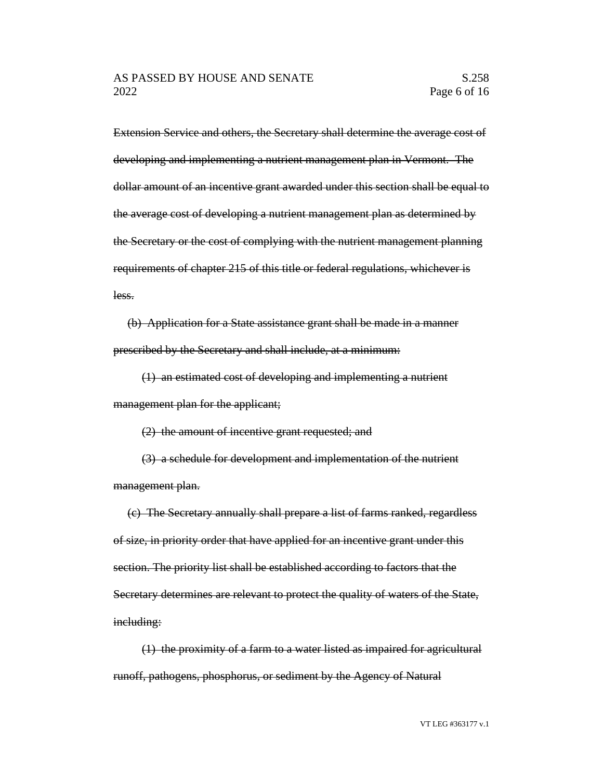Extension Service and others, the Secretary shall determine the average cost of developing and implementing a nutrient management plan in Vermont. The dollar amount of an incentive grant awarded under this section shall be equal to the average cost of developing a nutrient management plan as determined by the Secretary or the cost of complying with the nutrient management planning requirements of chapter 215 of this title or federal regulations, whichever is less.

(b) Application for a State assistance grant shall be made in a manner prescribed by the Secretary and shall include, at a minimum:

(1) an estimated cost of developing and implementing a nutrient management plan for the applicant;

(2) the amount of incentive grant requested; and

(3) a schedule for development and implementation of the nutrient management plan.

(c) The Secretary annually shall prepare a list of farms ranked, regardless of size, in priority order that have applied for an incentive grant under this section. The priority list shall be established according to factors that the Secretary determines are relevant to protect the quality of waters of the State, including:

(1) the proximity of a farm to a water listed as impaired for agricultural runoff, pathogens, phosphorus, or sediment by the Agency of Natural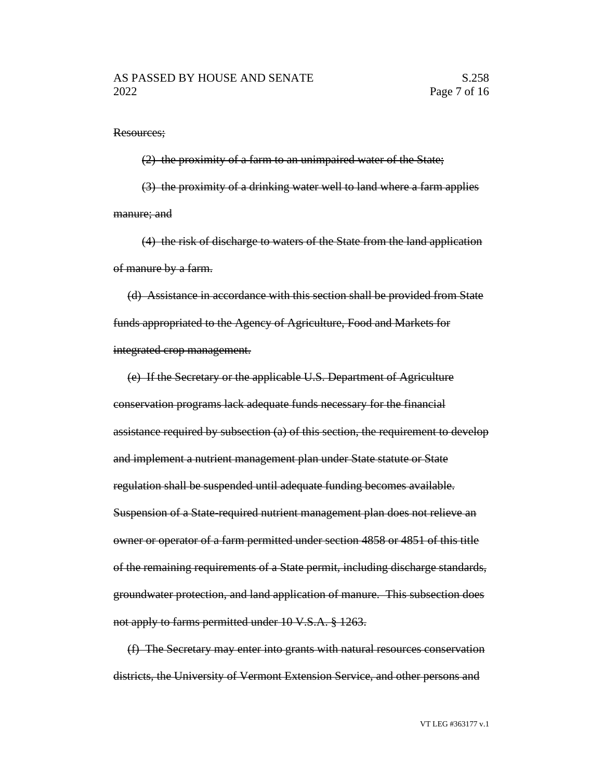Resources;

(2) the proximity of a farm to an unimpaired water of the State; (3) the proximity of a drinking water well to land where a farm applies manure; and

(4) the risk of discharge to waters of the State from the land application of manure by a farm.

(d) Assistance in accordance with this section shall be provided from State funds appropriated to the Agency of Agriculture, Food and Markets for integrated crop management.

(e) If the Secretary or the applicable U.S. Department of Agriculture conservation programs lack adequate funds necessary for the financial assistance required by subsection (a) of this section, the requirement to develop and implement a nutrient management plan under State statute or State regulation shall be suspended until adequate funding becomes available. Suspension of a State-required nutrient management plan does not relieve an owner or operator of a farm permitted under section 4858 or 4851 of this title of the remaining requirements of a State permit, including discharge standards, groundwater protection, and land application of manure. This subsection does not apply to farms permitted under 10 V.S.A. § 1263.

(f) The Secretary may enter into grants with natural resources conservation districts, the University of Vermont Extension Service, and other persons and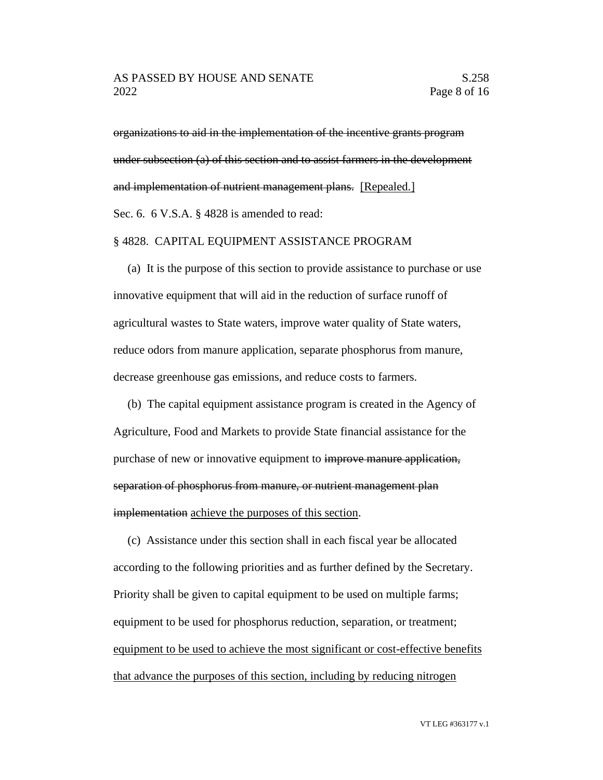organizations to aid in the implementation of the incentive grants program under subsection (a) of this section and to assist farmers in the development and implementation of nutrient management plans. [Repealed.] Sec. 6. 6 V.S.A. § 4828 is amended to read:

### § 4828. CAPITAL EQUIPMENT ASSISTANCE PROGRAM

(a) It is the purpose of this section to provide assistance to purchase or use innovative equipment that will aid in the reduction of surface runoff of agricultural wastes to State waters, improve water quality of State waters, reduce odors from manure application, separate phosphorus from manure, decrease greenhouse gas emissions, and reduce costs to farmers.

(b) The capital equipment assistance program is created in the Agency of Agriculture, Food and Markets to provide State financial assistance for the purchase of new or innovative equipment to improve manure application, separation of phosphorus from manure, or nutrient management plan implementation achieve the purposes of this section.

(c) Assistance under this section shall in each fiscal year be allocated according to the following priorities and as further defined by the Secretary. Priority shall be given to capital equipment to be used on multiple farms; equipment to be used for phosphorus reduction, separation, or treatment; equipment to be used to achieve the most significant or cost-effective benefits that advance the purposes of this section, including by reducing nitrogen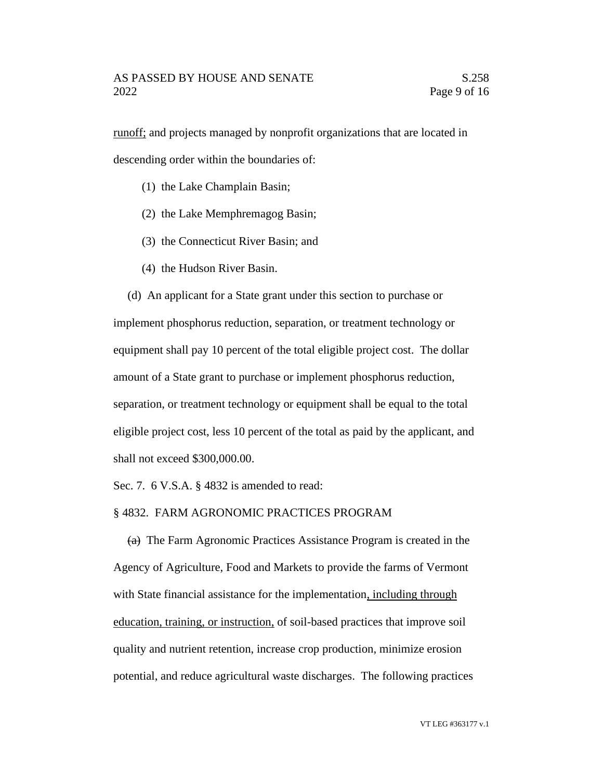runoff; and projects managed by nonprofit organizations that are located in descending order within the boundaries of:

- (1) the Lake Champlain Basin;
- (2) the Lake Memphremagog Basin;
- (3) the Connecticut River Basin; and
- (4) the Hudson River Basin.

(d) An applicant for a State grant under this section to purchase or implement phosphorus reduction, separation, or treatment technology or equipment shall pay 10 percent of the total eligible project cost. The dollar amount of a State grant to purchase or implement phosphorus reduction, separation, or treatment technology or equipment shall be equal to the total eligible project cost, less 10 percent of the total as paid by the applicant, and shall not exceed \$300,000.00.

Sec. 7. 6 V.S.A. § 4832 is amended to read:

### § 4832. FARM AGRONOMIC PRACTICES PROGRAM

(a) The Farm Agronomic Practices Assistance Program is created in the Agency of Agriculture, Food and Markets to provide the farms of Vermont with State financial assistance for the implementation, including through education, training, or instruction, of soil-based practices that improve soil quality and nutrient retention, increase crop production, minimize erosion potential, and reduce agricultural waste discharges. The following practices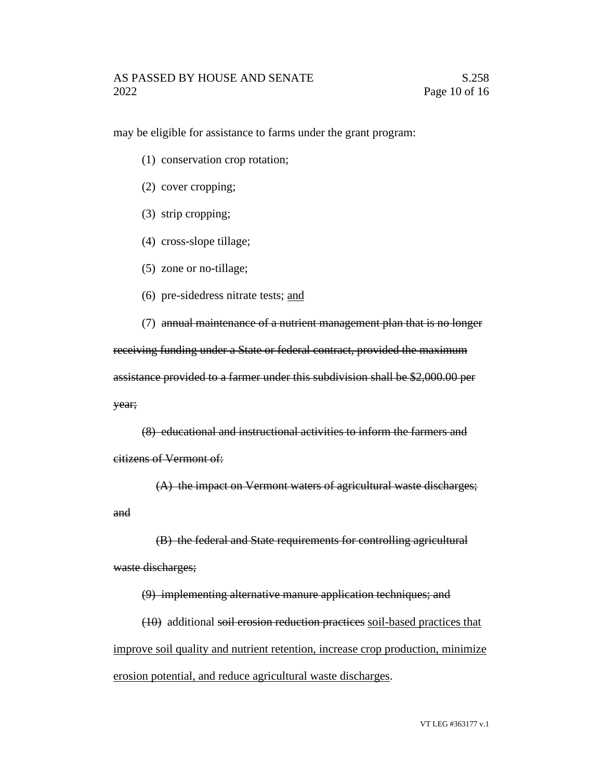may be eligible for assistance to farms under the grant program:

- (1) conservation crop rotation;
- (2) cover cropping;
- (3) strip cropping;
- (4) cross-slope tillage;
- (5) zone or no-tillage;
- (6) pre-sidedress nitrate tests; and

(7) annual maintenance of a nutrient management plan that is no longer receiving funding under a State or federal contract, provided the maximum assistance provided to a farmer under this subdivision shall be \$2,000.00 per year;

(8) educational and instructional activities to inform the farmers and citizens of Vermont of:

(A) the impact on Vermont waters of agricultural waste discharges; and

(B) the federal and State requirements for controlling agricultural waste discharges;

(9) implementing alternative manure application techniques; and

(10) additional soil erosion reduction practices soil-based practices that improve soil quality and nutrient retention, increase crop production, minimize erosion potential, and reduce agricultural waste discharges.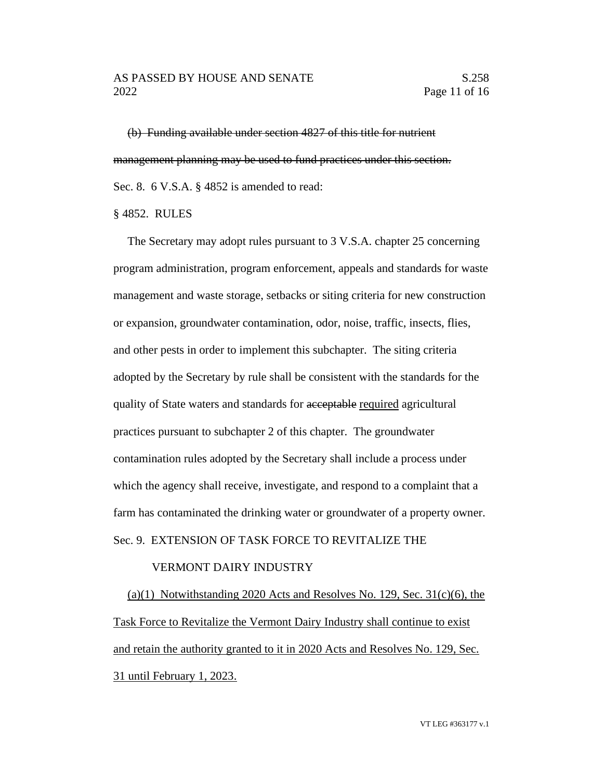(b) Funding available under section 4827 of this title for nutrient management planning may be used to fund practices under this section. Sec. 8. 6 V.S.A. § 4852 is amended to read:

§ 4852. RULES

The Secretary may adopt rules pursuant to 3 V.S.A. chapter 25 concerning program administration, program enforcement, appeals and standards for waste management and waste storage, setbacks or siting criteria for new construction or expansion, groundwater contamination, odor, noise, traffic, insects, flies, and other pests in order to implement this subchapter. The siting criteria adopted by the Secretary by rule shall be consistent with the standards for the quality of State waters and standards for acceptable required agricultural practices pursuant to subchapter 2 of this chapter. The groundwater contamination rules adopted by the Secretary shall include a process under which the agency shall receive, investigate, and respond to a complaint that a farm has contaminated the drinking water or groundwater of a property owner. Sec. 9. EXTENSION OF TASK FORCE TO REVITALIZE THE

# VERMONT DAIRY INDUSTRY

(a)(1) Notwithstanding 2020 Acts and Resolves No. 129, Sec.  $31(c)(6)$ , the Task Force to Revitalize the Vermont Dairy Industry shall continue to exist and retain the authority granted to it in 2020 Acts and Resolves No. 129, Sec. 31 until February 1, 2023.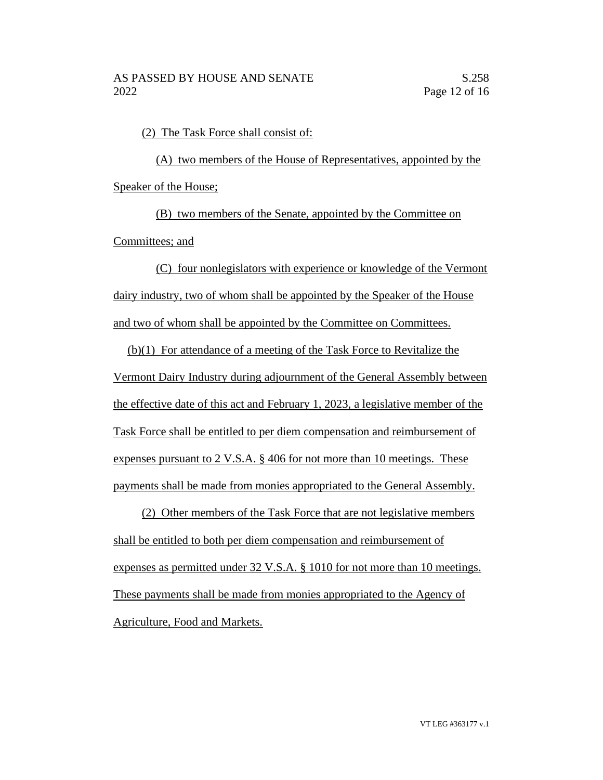(2) The Task Force shall consist of:

(A) two members of the House of Representatives, appointed by the Speaker of the House;

(B) two members of the Senate, appointed by the Committee on Committees; and

(C) four nonlegislators with experience or knowledge of the Vermont dairy industry, two of whom shall be appointed by the Speaker of the House and two of whom shall be appointed by the Committee on Committees.

(b)(1) For attendance of a meeting of the Task Force to Revitalize the Vermont Dairy Industry during adjournment of the General Assembly between the effective date of this act and February 1, 2023, a legislative member of the Task Force shall be entitled to per diem compensation and reimbursement of expenses pursuant to 2 V.S.A. § 406 for not more than 10 meetings. These payments shall be made from monies appropriated to the General Assembly.

(2) Other members of the Task Force that are not legislative members shall be entitled to both per diem compensation and reimbursement of expenses as permitted under 32 V.S.A. § 1010 for not more than 10 meetings. These payments shall be made from monies appropriated to the Agency of Agriculture, Food and Markets.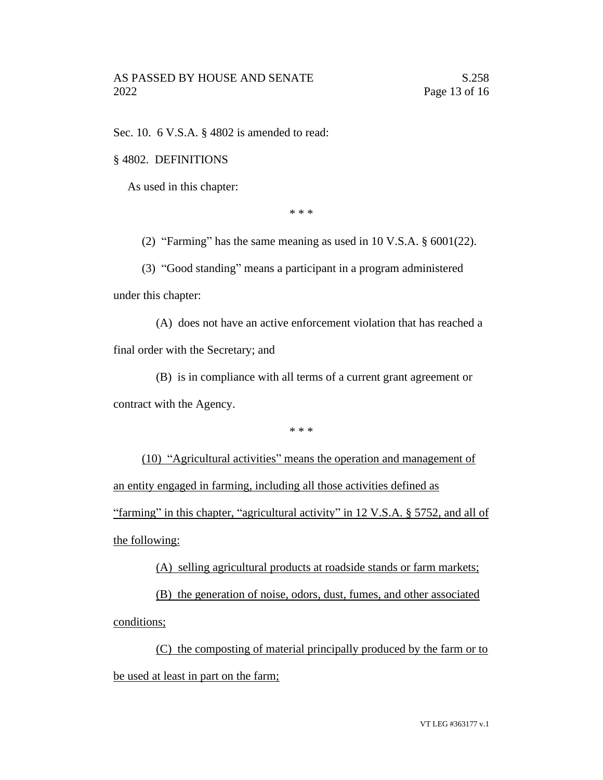Sec. 10. 6 V.S.A. § 4802 is amended to read:

### § 4802. DEFINITIONS

As used in this chapter:

\* \* \*

(2) "Farming" has the same meaning as used in 10 V.S.A. § 6001(22).

(3) "Good standing" means a participant in a program administered under this chapter:

(A) does not have an active enforcement violation that has reached a final order with the Secretary; and

(B) is in compliance with all terms of a current grant agreement or contract with the Agency.

\* \* \*

(10) "Agricultural activities" means the operation and management of an entity engaged in farming, including all those activities defined as "farming" in this chapter, "agricultural activity" in 12 V.S.A. § 5752, and all of the following:

(A) selling agricultural products at roadside stands or farm markets;

(B) the generation of noise, odors, dust, fumes, and other associated conditions;

(C) the composting of material principally produced by the farm or to be used at least in part on the farm;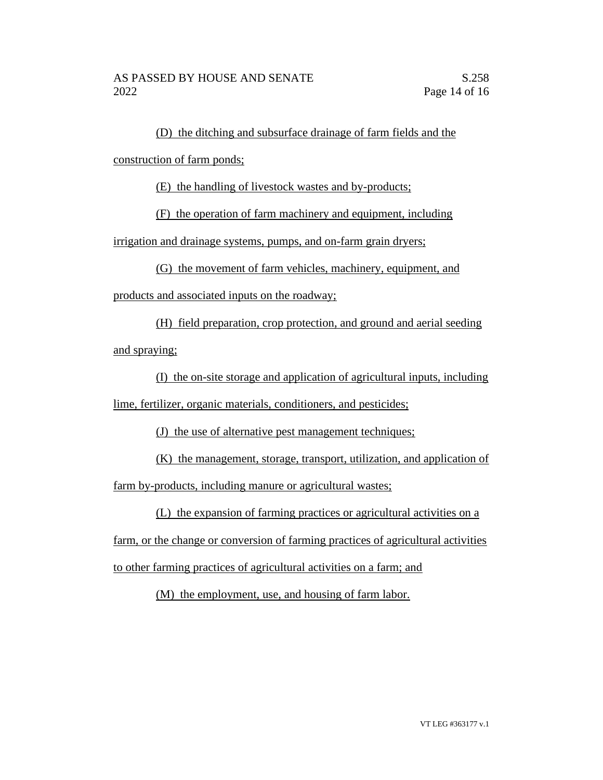(D) the ditching and subsurface drainage of farm fields and the

construction of farm ponds;

(E) the handling of livestock wastes and by-products;

(F) the operation of farm machinery and equipment, including

irrigation and drainage systems, pumps, and on-farm grain dryers;

(G) the movement of farm vehicles, machinery, equipment, and

products and associated inputs on the roadway;

(H) field preparation, crop protection, and ground and aerial seeding and spraying;

(I) the on-site storage and application of agricultural inputs, including lime, fertilizer, organic materials, conditioners, and pesticides;

(J) the use of alternative pest management techniques;

(K) the management, storage, transport, utilization, and application of farm by-products, including manure or agricultural wastes;

(L) the expansion of farming practices or agricultural activities on a

farm, or the change or conversion of farming practices of agricultural activities to other farming practices of agricultural activities on a farm; and

(M) the employment, use, and housing of farm labor.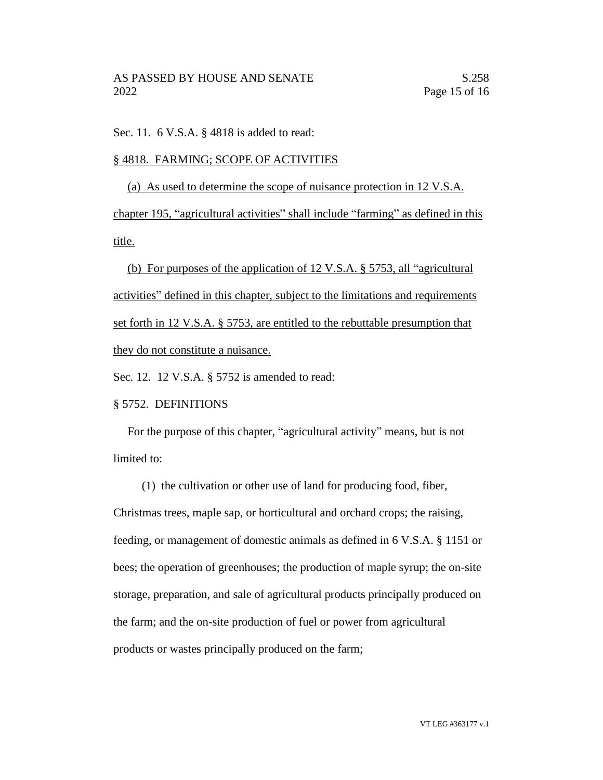Sec. 11. 6 V.S.A. § 4818 is added to read:

## § 4818. FARMING; SCOPE OF ACTIVITIES

(a) As used to determine the scope of nuisance protection in 12 V.S.A.

chapter 195, "agricultural activities" shall include "farming" as defined in this title.

(b) For purposes of the application of 12 V.S.A. § 5753, all "agricultural activities" defined in this chapter, subject to the limitations and requirements set forth in 12 V.S.A. § 5753, are entitled to the rebuttable presumption that they do not constitute a nuisance.

Sec. 12. 12 V.S.A. § 5752 is amended to read:

### § 5752. DEFINITIONS

For the purpose of this chapter, "agricultural activity" means, but is not limited to:

(1) the cultivation or other use of land for producing food, fiber,

Christmas trees, maple sap, or horticultural and orchard crops; the raising, feeding, or management of domestic animals as defined in 6 V.S.A. § 1151 or bees; the operation of greenhouses; the production of maple syrup; the on-site storage, preparation, and sale of agricultural products principally produced on the farm; and the on-site production of fuel or power from agricultural products or wastes principally produced on the farm;